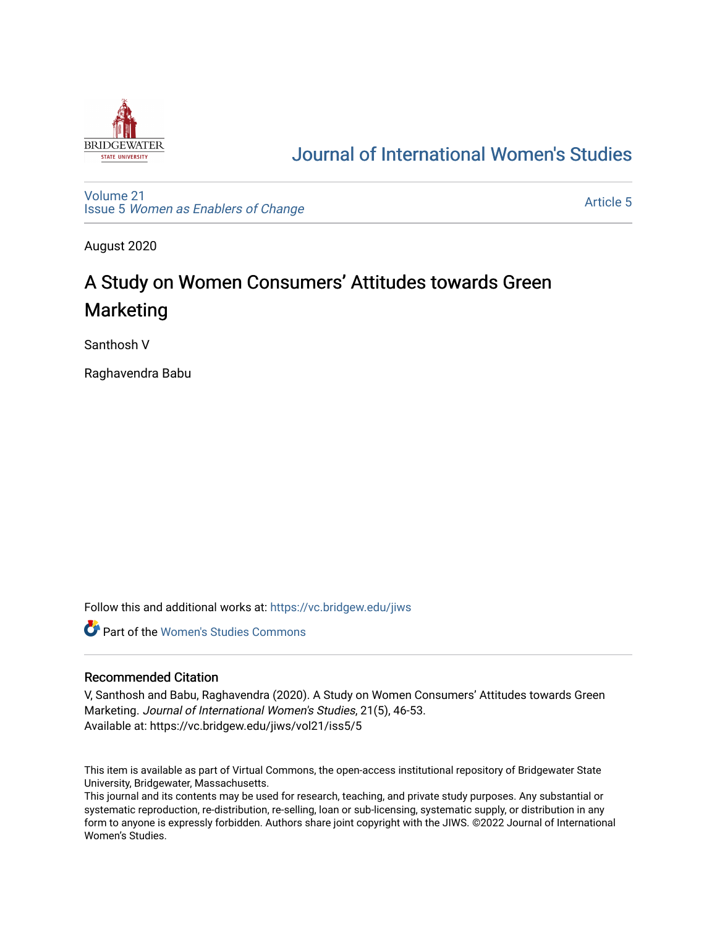

# [Journal of International Women's Studies](https://vc.bridgew.edu/jiws)

[Volume 21](https://vc.bridgew.edu/jiws/vol21) Issue 5 [Women as Enablers of Change](https://vc.bridgew.edu/jiws/vol21/iss5) 

[Article 5](https://vc.bridgew.edu/jiws/vol21/iss5/5) 

August 2020

# A Study on Women Consumers' Attitudes towards Green Marketing

Santhosh V

Raghavendra Babu

Follow this and additional works at: [https://vc.bridgew.edu/jiws](https://vc.bridgew.edu/jiws?utm_source=vc.bridgew.edu%2Fjiws%2Fvol21%2Fiss5%2F5&utm_medium=PDF&utm_campaign=PDFCoverPages)

**C** Part of the Women's Studies Commons

#### Recommended Citation

V, Santhosh and Babu, Raghavendra (2020). A Study on Women Consumers' Attitudes towards Green Marketing. Journal of International Women's Studies, 21(5), 46-53. Available at: https://vc.bridgew.edu/jiws/vol21/iss5/5

This item is available as part of Virtual Commons, the open-access institutional repository of Bridgewater State University, Bridgewater, Massachusetts.

This journal and its contents may be used for research, teaching, and private study purposes. Any substantial or systematic reproduction, re-distribution, re-selling, loan or sub-licensing, systematic supply, or distribution in any form to anyone is expressly forbidden. Authors share joint copyright with the JIWS. ©2022 Journal of International Women's Studies.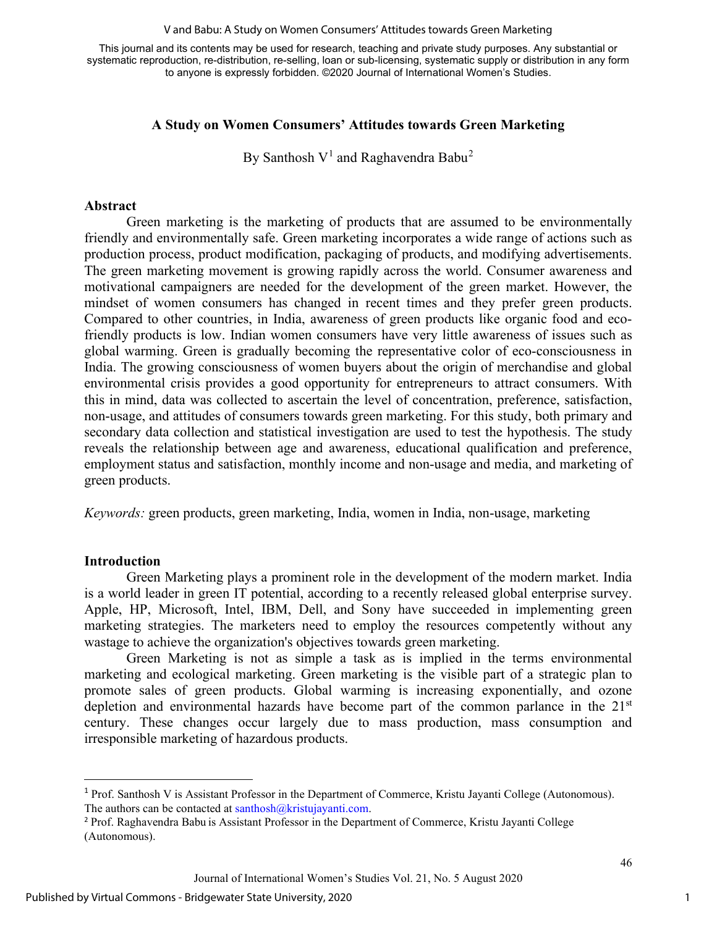#### V and Babu: A Study on Women Consumers' Attitudes towards Green Marketing

This journal and its contents may be used for research, teaching and private study purposes. Any substantial or systematic reproduction, re-distribution, re-selling, loan or sub-licensing, systematic supply or distribution in any form to anyone is expressly forbidden. ©2020 Journal of International Women's Studies.

#### **A Study on Women Consumers' Attitudes towards Green Marketing**

By Santhosh  $V^1$  $V^1$  and Raghavendra Babu<sup>[2](#page-1-1)</sup>

#### **Abstract**

Green marketing is the marketing of products that are assumed to be environmentally friendly and environmentally safe. Green marketing incorporates a wide range of actions such as production process, product modification, packaging of products, and modifying advertisements. The green marketing movement is growing rapidly across the world. Consumer awareness and motivational campaigners are needed for the development of the green market. However, the mindset of women consumers has changed in recent times and they prefer green products. Compared to other countries, in India, awareness of green products like organic food and ecofriendly products is low. Indian women consumers have very little awareness of issues such as global warming. Green is gradually becoming the representative color of eco-consciousness in India. The growing consciousness of women buyers about the origin of merchandise and global environmental crisis provides a good opportunity for entrepreneurs to attract consumers. With this in mind, data was collected to ascertain the level of concentration, preference, satisfaction, non-usage, and attitudes of consumers towards green marketing. For this study, both primary and secondary data collection and statistical investigation are used to test the hypothesis. The study reveals the relationship between age and awareness, educational qualification and preference, employment status and satisfaction, monthly income and non-usage and media, and marketing of green products.

*Keywords:* green products, green marketing, India, women in India, non-usage, marketing

#### **Introduction**

Green Marketing plays a prominent role in the development of the modern market. India is a world leader in green IT potential, according to a recently released global enterprise survey. Apple, HP, Microsoft, Intel, IBM, Dell, and Sony have succeeded in implementing green marketing strategies. The marketers need to employ the resources competently without any wastage to achieve the organization's objectives towards green marketing.

Green Marketing is not as simple a task as is implied in the terms environmental marketing and ecological marketing. Green marketing is the visible part of a strategic plan to promote sales of green products. Global warming is increasing exponentially, and ozone depletion and environmental hazards have become part of the common parlance in the  $21<sup>st</sup>$ century. These changes occur largely due to mass production, mass consumption and irresponsible marketing of hazardous products.

<span id="page-1-0"></span><sup>1</sup> Prof. Santhosh V is Assistant Professor in the Department of Commerce, Kristu Jayanti College (Autonomous). The authors can be contacted at  $santhosh@kristujayanti.com$ .

<span id="page-1-1"></span><sup>2</sup> Prof. Raghavendra Babu is Assistant Professor in the Department of Commerce, Kristu Jayanti College (Autonomous).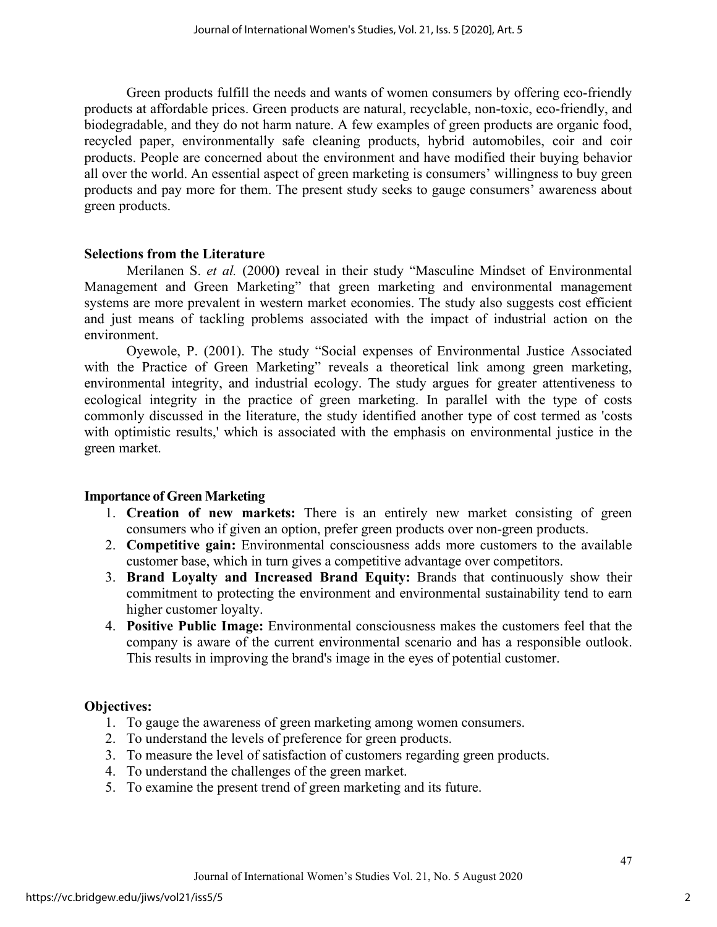Green products fulfill the needs and wants of women consumers by offering eco-friendly products at affordable prices. Green products are natural, recyclable, non-toxic, eco-friendly, and biodegradable, and they do not harm nature. A few examples of green products are organic food, recycled paper, environmentally safe cleaning products, hybrid automobiles, coir and coir products. People are concerned about the environment and have modified their buying behavior all over the world. An essential aspect of green marketing is consumers' willingness to buy green products and pay more for them. The present study seeks to gauge consumers' awareness about green products.

### **Selections from the Literature**

Merilanen S. *et al.* (2000**)** reveal in their study "Masculine Mindset of Environmental Management and Green Marketing" that green marketing and environmental management systems are more prevalent in western market economies. The study also suggests cost efficient and just means of tackling problems associated with the impact of industrial action on the environment.

Oyewole, P. (2001). The study "Social expenses of Environmental Justice Associated with the Practice of Green Marketing" reveals a theoretical link among green marketing, environmental integrity, and industrial ecology. The study argues for greater attentiveness to ecological integrity in the practice of green marketing. In parallel with the type of costs commonly discussed in the literature, the study identified another type of cost termed as 'costs with optimistic results,' which is associated with the emphasis on environmental justice in the green market.

### **Importance of Green Marketing**

- 1. **Creation of new markets:** There is an entirely new market consisting of green consumers who if given an option, prefer green products over non-green products.
- 2. **Competitive gain:** Environmental consciousness adds more customers to the available customer base, which in turn gives a [competitive advantage](https://www.feedough.com/competitive-advantage-definition-types-examples/) over competitors.
- 3. **Brand Loyalty and Increased Brand Equity:** Brands that continuously show their commitment to protecting the environment and environmental sustainability tend to earn [higher customer loyalty.](https://www.feedough.com/what-is-brand-loyalty-types-importance-examples/)
- 4. **Positive Public Image:** Environmental consciousness makes the customers feel that the company is aware of the current environmental scenario and has a responsible outlook. This results in improving the brand's [image i](https://www.feedough.com/brand-image-explanation-examples/)n the eyes of potential customer.

# **Objectives:**

- 1. To gauge the awareness of green marketing among women consumers.
- 2. To understand the levels of preference for green products.
- 3. To measure the level of satisfaction of customers regarding green products.
- 4. To understand the challenges of the green market.
- 5. To examine the present trend of green marketing and its future.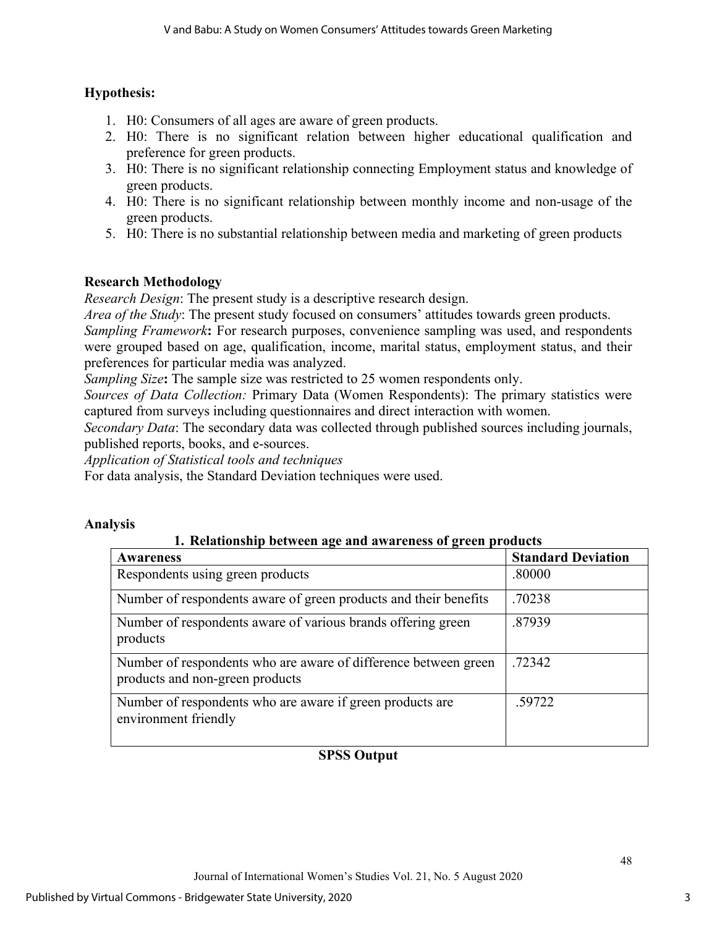# **Hypothesis:**

- 1. H0: Consumers of all ages are aware of green products.
- 2. H0: There is no significant relation between higher educational qualification and preference for green products.
- 3. H0: There is no significant relationship connecting Employment status and knowledge of green products.
- 4. H0: There is no significant relationship between monthly income and non-usage of the green products.
- 5. H0: There is no substantial relationship between media and marketing of green products

# **Research Methodology**

*Research Design*: The present study is a descriptive research design.

*Area of the Study*: The present study focused on consumers' attitudes towards green products.

*Sampling Framework*: For research purposes, convenience sampling was used, and respondents were grouped based on age, qualification, income, marital status, employment status, and their preferences for particular media was analyzed.

*Sampling Size***:** The sample size was restricted to 25 women respondents only.

*Sources of Data Collection:* Primary Data (Women Respondents): The primary statistics were captured from surveys including questionnaires and direct interaction with women.

*Secondary Data*: The secondary data was collected through published sources including journals, published reports, books, and e-sources.

*Application of Statistical tools and techniques* 

For data analysis, the Standard Deviation techniques were used.

### **Analysis**

### **1. Relationship between age and awareness of green products**

| <b>Awareness</b>                                                                                   | <b>Standard Deviation</b> |
|----------------------------------------------------------------------------------------------------|---------------------------|
| Respondents using green products                                                                   | .80000                    |
| Number of respondents aware of green products and their benefits                                   | .70238                    |
| Number of respondents aware of various brands offering green<br>products                           | .87939                    |
| Number of respondents who are aware of difference between green<br>products and non-green products | .72342                    |
| Number of respondents who are aware if green products are<br>environment friendly                  | .59722                    |

# **SPSS Output**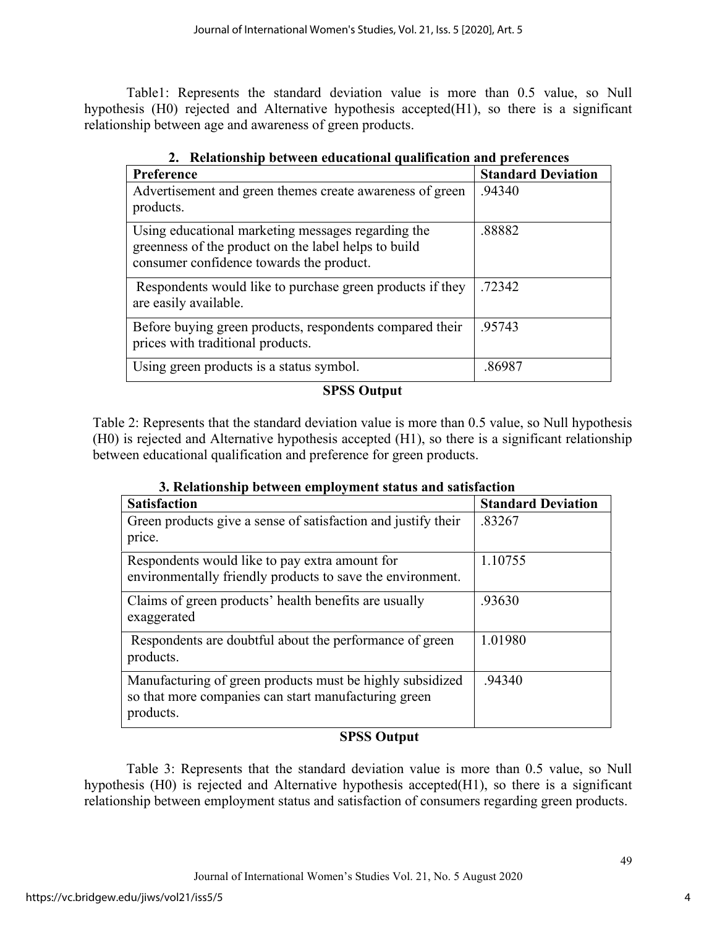Table1: Represents the standard deviation value is more than 0.5 value, so Null hypothesis (H0) rejected and Alternative hypothesis accepted(H1), so there is a significant relationship between age and awareness of green products.

| Preference                                                                                                                                             | <b>Standard Deviation</b> |
|--------------------------------------------------------------------------------------------------------------------------------------------------------|---------------------------|
| Advertisement and green themes create awareness of green<br>products.                                                                                  | .94340                    |
| Using educational marketing messages regarding the<br>greenness of the product on the label helps to build<br>consumer confidence towards the product. | .88882                    |
| Respondents would like to purchase green products if they<br>are easily available.                                                                     | .72342                    |
| Before buying green products, respondents compared their<br>prices with traditional products.                                                          | .95743                    |
| Using green products is a status symbol.                                                                                                               | .86987                    |

**2. Relationship between educational qualification and preferences**

### **SPSS Output**

Table 2: Represents that the standard deviation value is more than 0.5 value, so Null hypothesis (H0) is rejected and Alternative hypothesis accepted (H1), so there is a significant relationship between educational qualification and preference for green products.

| 3. Relationship between employment status and satisfaction                                                                     |                           |  |
|--------------------------------------------------------------------------------------------------------------------------------|---------------------------|--|
| <b>Satisfaction</b>                                                                                                            | <b>Standard Deviation</b> |  |
| Green products give a sense of satisfaction and justify their<br>price.                                                        | .83267                    |  |
| Respondents would like to pay extra amount for<br>environmentally friendly products to save the environment.                   | 1.10755                   |  |
| Claims of green products' health benefits are usually<br>exaggerated                                                           | .93630                    |  |
| Respondents are doubtful about the performance of green<br>products.                                                           | 1.01980                   |  |
| Manufacturing of green products must be highly subsidized<br>so that more companies can start manufacturing green<br>products. | .94340                    |  |

| 3. Relationship between employment status and satisfaction |
|------------------------------------------------------------|
|------------------------------------------------------------|

# **SPSS Output**

Table 3: Represents that the standard deviation value is more than 0.5 value, so Null hypothesis (H0) is rejected and Alternative hypothesis accepted(H1), so there is a significant relationship between employment status and satisfaction of consumers regarding green products.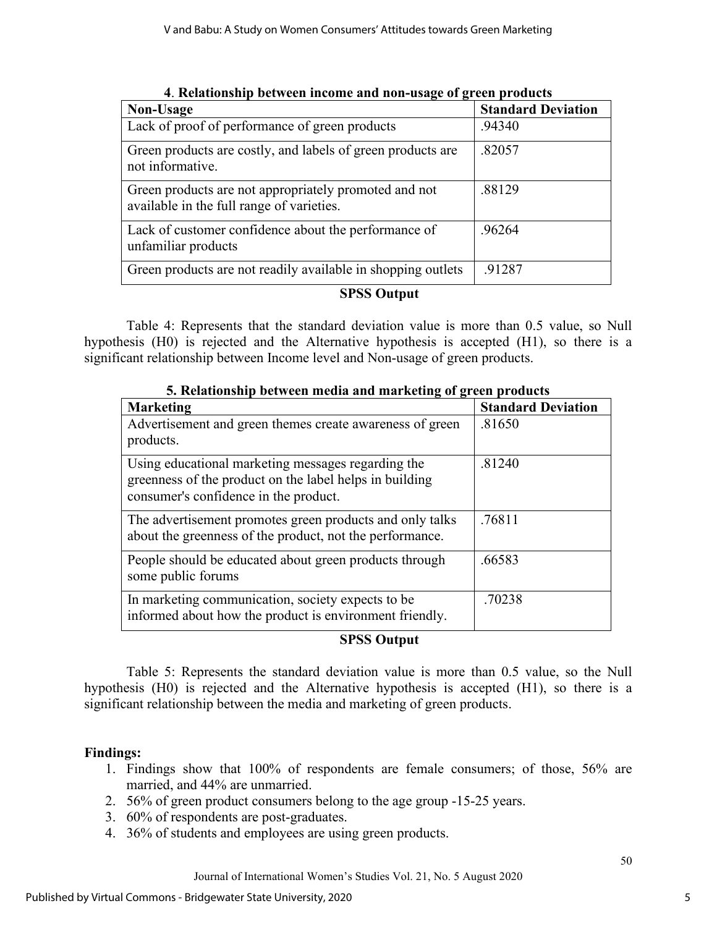| Non-Usage                                                                                          | <b>Standard Deviation</b> |
|----------------------------------------------------------------------------------------------------|---------------------------|
| Lack of proof of performance of green products                                                     | .94340                    |
| Green products are costly, and labels of green products are<br>not informative.                    | .82057                    |
| Green products are not appropriately promoted and not<br>available in the full range of varieties. | .88129                    |
| Lack of customer confidence about the performance of<br>unfamiliar products                        | .96264                    |
| Green products are not readily available in shopping outlets                                       | .91287                    |
|                                                                                                    |                           |

**4**. **Relationship between income and non-usage of green products**

# **SPSS Output**

Table 4: Represents that the standard deviation value is more than 0.5 value, so Null hypothesis (H0) is rejected and the Alternative hypothesis is accepted (H1), so there is a significant relationship between Income level and Non-usage of green products.

| 5. Relationship between media and marketing of green products                                                                                          |                           |  |
|--------------------------------------------------------------------------------------------------------------------------------------------------------|---------------------------|--|
| <b>Marketing</b>                                                                                                                                       | <b>Standard Deviation</b> |  |
| Advertisement and green themes create awareness of green<br>products.                                                                                  | .81650                    |  |
| Using educational marketing messages regarding the<br>greenness of the product on the label helps in building<br>consumer's confidence in the product. | .81240                    |  |
| The advertisement promotes green products and only talks<br>about the greenness of the product, not the performance.                                   | .76811                    |  |
| People should be educated about green products through<br>some public forums                                                                           | .66583                    |  |
| In marketing communication, society expects to be<br>informed about how the product is environment friendly.                                           | .70238                    |  |

# **5. Relationship between media and marketing of green products**

# **SPSS Output**

Table 5: Represents the standard deviation value is more than 0.5 value, so the Null hypothesis (H0) is rejected and the Alternative hypothesis is accepted (H1), so there is a significant relationship between the media and marketing of green products.

# **Findings:**

- 1. Findings show that 100% of respondents are female consumers; of those, 56% are married, and 44% are unmarried.
- 2. 56% of green product consumers belong to the age group -15-25 years.
- 3. 60% of respondents are post-graduates.
- 4. 36% of students and employees are using green products.

5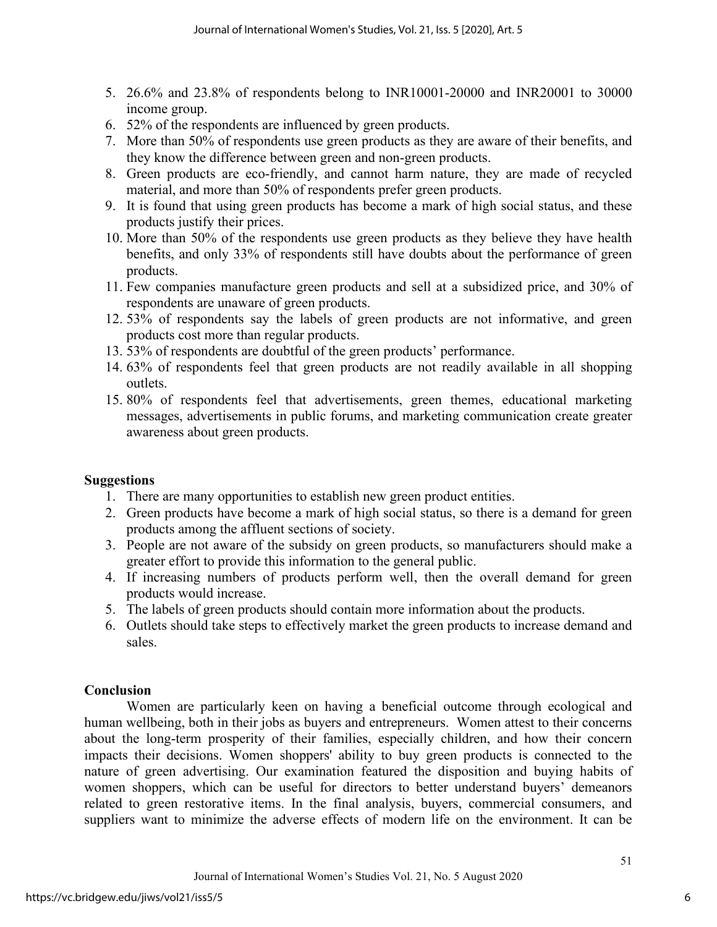- 5. 26.6% and 23.8% of respondents belong to INR10001-20000 and INR20001 to 30000 income group.
- 6. 52% of the respondents are influenced by green products.
- 7. More than 50% of respondents use green products as they are aware of their benefits, and they know the difference between green and non-green products.
- 8. Green products are eco-friendly, and cannot harm nature, they are made of recycled material, and more than 50% of respondents prefer green products.
- 9. It is found that using green products has become a mark of high social status, and these products justify their prices.
- 10. More than 50% of the respondents use green products as they believe they have health benefits, and only 33% of respondents still have doubts about the performance of green products.
- 11. Few companies manufacture green products and sell at a subsidized price, and 30% of respondents are unaware of green products.
- 12. 53% of respondents say the labels of green products are not informative, and green products cost more than regular products.
- 13. 53% of respondents are doubtful of the green products' performance.
- 14. 63% of respondents feel that green products are not readily available in all shopping outlets.
- 15. 80% of respondents feel that advertisements, green themes, educational marketing messages, advertisements in public forums, and marketing communication create greater awareness about green products.

# **Suggestions**

- 1. There are many opportunities to establish new green product entities.
- 2. Green products have become a mark of high social status, so there is a demand for green products among the affluent sections of society.
- 3. People are not aware of the subsidy on green products, so manufacturers should make a greater effort to provide this information to the general public.
- 4. If increasing numbers of products perform well, then the overall demand for green products would increase.
- 5. The labels of green products should contain more information about the products.
- 6. Outlets should take steps to effectively market the green products to increase demand and sales.

# **Conclusion**

Women are particularly keen on having a beneficial outcome through ecological and human wellbeing, both in their jobs as buyers and entrepreneurs. Women attest to their concerns about the long-term prosperity of their families, especially children, and how their concern impacts their decisions. Women shoppers' ability to buy green products is connected to the nature of green advertising. Our examination featured the disposition and buying habits of women shoppers, which can be useful for directors to better understand buyers' demeanors related to green restorative items. In the final analysis, buyers, commercial consumers, and suppliers want to minimize the adverse effects of modern life on the environment. It can be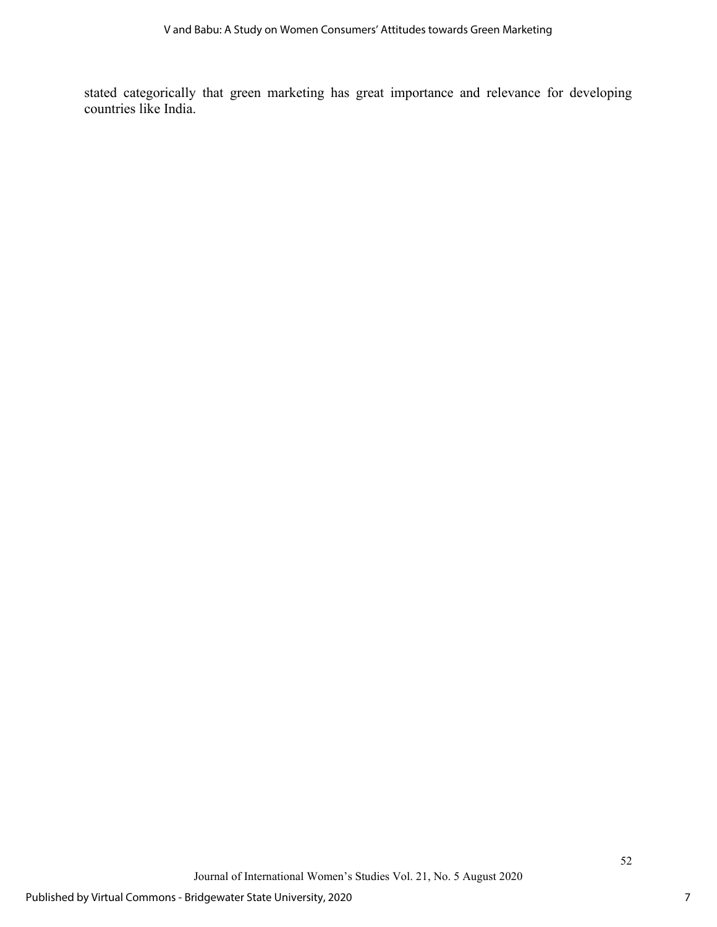stated categorically that green marketing has great importance and relevance for developing countries like India.